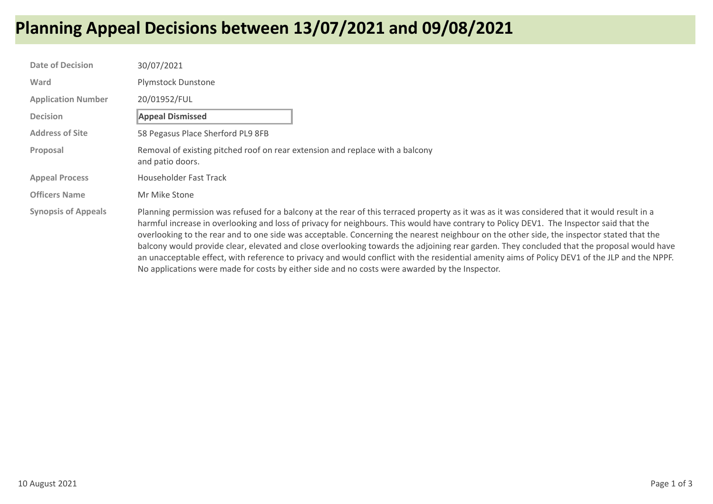## **Planning Appeal Decisions between 13/07/2021 and 09/08/2021**

| <b>Date of Decision</b>    | 30/07/2021                                                                                                                                                                                                                                                                                                                                                                                                                                                                                                                                                                                                                                                                                                                                                                                                                              |
|----------------------------|-----------------------------------------------------------------------------------------------------------------------------------------------------------------------------------------------------------------------------------------------------------------------------------------------------------------------------------------------------------------------------------------------------------------------------------------------------------------------------------------------------------------------------------------------------------------------------------------------------------------------------------------------------------------------------------------------------------------------------------------------------------------------------------------------------------------------------------------|
| Ward                       | <b>Plymstock Dunstone</b>                                                                                                                                                                                                                                                                                                                                                                                                                                                                                                                                                                                                                                                                                                                                                                                                               |
| <b>Application Number</b>  | 20/01952/FUL                                                                                                                                                                                                                                                                                                                                                                                                                                                                                                                                                                                                                                                                                                                                                                                                                            |
| <b>Decision</b>            | <b>Appeal Dismissed</b>                                                                                                                                                                                                                                                                                                                                                                                                                                                                                                                                                                                                                                                                                                                                                                                                                 |
| <b>Address of Site</b>     | 58 Pegasus Place Sherford PL9 8FB                                                                                                                                                                                                                                                                                                                                                                                                                                                                                                                                                                                                                                                                                                                                                                                                       |
| Proposal                   | Removal of existing pitched roof on rear extension and replace with a balcony<br>and patio doors.                                                                                                                                                                                                                                                                                                                                                                                                                                                                                                                                                                                                                                                                                                                                       |
| <b>Appeal Process</b>      | Householder Fast Track                                                                                                                                                                                                                                                                                                                                                                                                                                                                                                                                                                                                                                                                                                                                                                                                                  |
| <b>Officers Name</b>       | Mr Mike Stone                                                                                                                                                                                                                                                                                                                                                                                                                                                                                                                                                                                                                                                                                                                                                                                                                           |
| <b>Synopsis of Appeals</b> | Planning permission was refused for a balcony at the rear of this terraced property as it was as it was considered that it would result in a<br>harmful increase in overlooking and loss of privacy for neighbours. This would have contrary to Policy DEV1. The Inspector said that the<br>overlooking to the rear and to one side was acceptable. Concerning the nearest neighbour on the other side, the inspector stated that the<br>balcony would provide clear, elevated and close overlooking towards the adjoining rear garden. They concluded that the proposal would have<br>an unacceptable effect, with reference to privacy and would conflict with the residential amenity aims of Policy DEV1 of the JLP and the NPPF.<br>No applications were made for costs by either side and no costs were awarded by the Inspector. |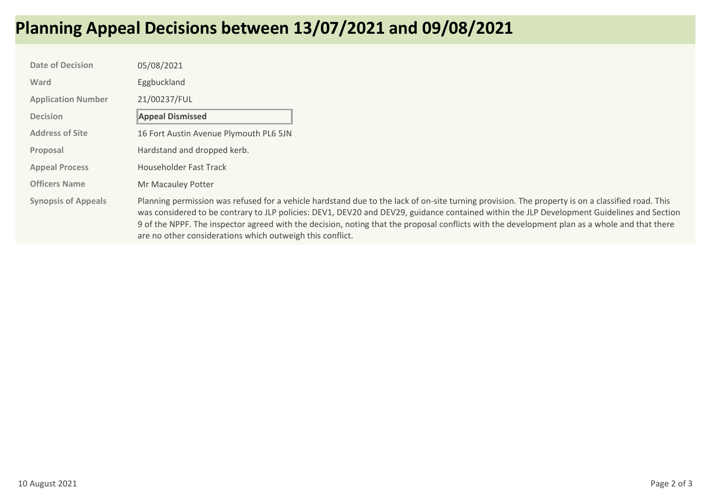## **Planning Appeal Decisions between 13/07/2021 and 09/08/2021**

| <b>Date of Decision</b>    | 05/08/2021                                                                                                                                                                                                                                                                                                                                                                                                                                                                                                   |
|----------------------------|--------------------------------------------------------------------------------------------------------------------------------------------------------------------------------------------------------------------------------------------------------------------------------------------------------------------------------------------------------------------------------------------------------------------------------------------------------------------------------------------------------------|
| Ward                       | Eggbuckland                                                                                                                                                                                                                                                                                                                                                                                                                                                                                                  |
| <b>Application Number</b>  | 21/00237/FUL                                                                                                                                                                                                                                                                                                                                                                                                                                                                                                 |
| <b>Decision</b>            | <b>Appeal Dismissed</b>                                                                                                                                                                                                                                                                                                                                                                                                                                                                                      |
| <b>Address of Site</b>     | 16 Fort Austin Avenue Plymouth PL6 5JN                                                                                                                                                                                                                                                                                                                                                                                                                                                                       |
| Proposal                   | Hardstand and dropped kerb.                                                                                                                                                                                                                                                                                                                                                                                                                                                                                  |
| <b>Appeal Process</b>      | Householder Fast Track                                                                                                                                                                                                                                                                                                                                                                                                                                                                                       |
| <b>Officers Name</b>       | Mr Macauley Potter                                                                                                                                                                                                                                                                                                                                                                                                                                                                                           |
| <b>Synopsis of Appeals</b> | Planning permission was refused for a vehicle hardstand due to the lack of on-site turning provision. The property is on a classified road. This<br>was considered to be contrary to JLP policies: DEV1, DEV20 and DEV29, guidance contained within the JLP Development Guidelines and Section<br>9 of the NPPF. The inspector agreed with the decision, noting that the proposal conflicts with the development plan as a whole and that there<br>are no other considerations which outweigh this conflict. |